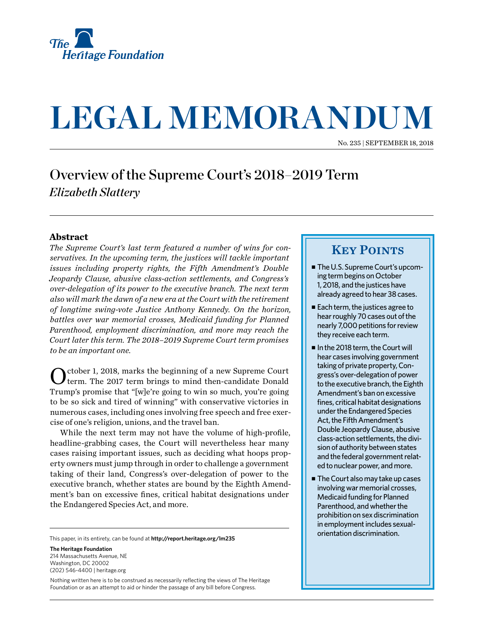

# **LEGAL MEMORANDUM**

No. 235 | September 18, 2018

## Overview of the Supreme Court's 2018–2019 Term *Elizabeth Slattery*

### **Abstract**

*The Supreme Court's last term featured a number of wins for conservatives. In the upcoming term, the justices will tackle important issues including property rights, the Fifth Amendment's Double Jeopardy Clause, abusive class-action settlements, and Congress's over-delegation of its power to the executive branch. The next term also will mark the dawn of a new era at the Court with the retirement of longtime swing-vote Justice Anthony Kennedy. On the horizon, battles over war memorial crosses, Medicaid funding for Planned Parenthood, employment discrimination, and more may reach the Court later this term. The 2018–2019 Supreme Court term promises to be an important one.*

October 1, 2018, marks the beginning of a new Supreme Court term. The 2017 term brings to mind then-candidate Donald Trump's promise that "[w]e're going to win so much, you're going to be so sick and tired of winning" with conservative victories in numerous cases, including ones involving free speech and free exercise of one's religion, unions, and the travel ban.

While the next term may not have the volume of high-profile, headline-grabbing cases, the Court will nevertheless hear many cases raising important issues, such as deciding what hoops property owners must jump through in order to challenge a government taking of their land, Congress's over-delegation of power to the executive branch, whether states are bound by the Eighth Amendment's ban on excessive fines, critical habitat designations under the Endangered Species Act, and more.

This paper, in its entirety, can be found at **[http://report.heritage.org](http://www.heritage.org/research)/lm235**

**The Heritage Foundation** 214 Massachusetts Avenue, NF Washington, DC 20002 (202) 546-4400 | [heritage.org](http://www.heritage.org)

Nothing written here is to be construed as necessarily reflecting the views of The Heritage Foundation or as an attempt to aid or hinder the passage of any bill before Congress.

## **KEY POINTS**

- The U.S. Supreme Court's upcoming term begins on October 1, 2018, and the justices have already agreed to hear 38 cases.
- $\blacksquare$  Each term, the justices agree to hear roughly 70 cases out of the nearly 7,000 petitions for review they receive each term.
- In the 2018 term, the Court will hear cases involving government taking of private property, Congress's over-delegation of power to the executive branch, the Eighth Amendment's ban on excessive fines, critical habitat designations under the Endangered Species Act, the Fifth Amendment's Double Jeopardy Clause, abusive class-action settlements, the division of authority between states and the federal government related to nuclear power, and more.
- $\blacksquare$  The Court also may take up cases involving war memorial crosses, Medicaid funding for Planned Parenthood, and whether the prohibition on sex discrimination in employment includes sexualorientation discrimination.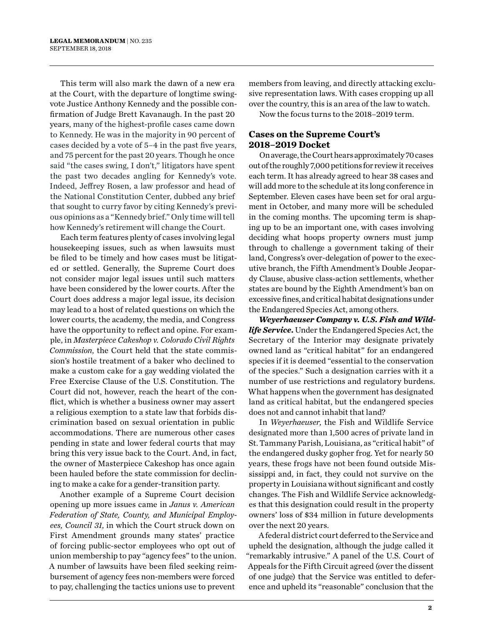This term will also mark the dawn of a new era at the Court, with the departure of longtime swingvote Justice Anthony Kennedy and the possible confirmation of Judge Brett Kavanaugh. In the past 20 years, many of the highest-profile cases came down to Kennedy. He was in the majority in 90 percent of cases decided by a vote of 5–4 in the past five years, and 75 percent for the past 20 years. Though he once said "the cases swing, I don't," litigators have spent the past two decades angling for Kennedy's vote. Indeed, Jeffrey Rosen, a law professor and head of the National Constitution Center, dubbed any brief that sought to curry favor by citing Kennedy's previous opinions as a "Kennedy brief." Only time will tell how Kennedy's retirement will change the Court.

Each term features plenty of cases involving legal housekeeping issues, such as when lawsuits must be filed to be timely and how cases must be litigated or settled. Generally, the Supreme Court does not consider major legal issues until such matters have been considered by the lower courts. After the Court does address a major legal issue, its decision may lead to a host of related questions on which the lower courts, the academy, the media, and Congress have the opportunity to reflect and opine. For example, in *Masterpiece Cakeshop v. Colorado Civil Rights Commission*, the Court held that the state commission's hostile treatment of a baker who declined to make a custom cake for a gay wedding violated the Free Exercise Clause of the U.S. Constitution. The Court did not, however, reach the heart of the conflict, which is whether a business owner may assert a religious exemption to a state law that forbids discrimination based on sexual orientation in public accommodations. There are numerous other cases pending in state and lower federal courts that may bring this very issue back to the Court. And, in fact, the owner of Masterpiece Cakeshop has once again been hauled before the state commission for declining to make a cake for a gender-transition party.

Another example of a Supreme Court decision opening up more issues came in *Janus v. American Federation of State, County, and Municipal Employees, Council 31*, in which the Court struck down on First Amendment grounds many states' practice of forcing public-sector employees who opt out of union membership to pay "agency fees" to the union. A number of lawsuits have been filed seeking reimbursement of agency fees non-members were forced to pay, challenging the tactics unions use to prevent

members from leaving, and directly attacking exclusive representation laws. With cases cropping up all over the country, this is an area of the law to watch.

Now the focus turns to the 2018–2019 term.

## **Cases on the Supreme Court's 2018–2019 Docket**

On average, the Court hears approximately 70 cases out of the roughly 7,000 petitions for review it receives each term. It has already agreed to hear 38 cases and will add more to the schedule at its long conference in September. Eleven cases have been set for oral argument in October, and many more will be scheduled in the coming months. The upcoming term is shaping up to be an important one, with cases involving deciding what hoops property owners must jump through to challenge a government taking of their land, Congress's over-delegation of power to the executive branch, the Fifth Amendment's Double Jeopardy Clause, abusive class-action settlements, whether states are bound by the Eighth Amendment's ban on excessive fines, and critical habitat designations under the Endangered Species Act, among others.

*Weyerhaeuser Company v. U.S. Fish and Wildlife Service***.** Under the Endangered Species Act, the Secretary of the Interior may designate privately owned land as "critical habitat" for an endangered species if it is deemed "essential to the conservation of the species." Such a designation carries with it a number of use restrictions and regulatory burdens. What happens when the government has designated land as critical habitat, but the endangered species does not and cannot inhabit that land?

In *Weyerhaeuser*, the Fish and Wildlife Service designated more than 1,500 acres of private land in St. Tammany Parish, Louisiana, as "critical habit" of the endangered dusky gopher frog. Yet for nearly 50 years, these frogs have not been found outside Mississippi and, in fact, they could not survive on the property in Louisiana without significant and costly changes. The Fish and Wildlife Service acknowledges that this designation could result in the property owners' loss of \$34 million in future developments over the next 20 years.

A federal district court deferred to the Service and upheld the designation, although the judge called it "remarkably intrusive." A panel of the U.S. Court of Appeals for the Fifth Circuit agreed (over the dissent of one judge) that the Service was entitled to deference and upheld its "reasonable" conclusion that the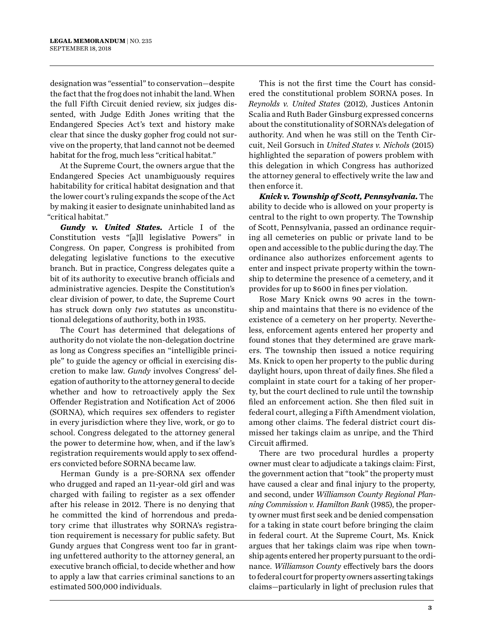designation was "essential" to conservation—despite the fact that the frog does not inhabit the land. When the full Fifth Circuit denied review, six judges dissented, with Judge Edith Jones writing that the Endangered Species Act's text and history make clear that since the dusky gopher frog could not survive on the property, that land cannot not be deemed habitat for the frog, much less "critical habitat."

At the Supreme Court, the owners argue that the Endangered Species Act unambiguously requires habitability for critical habitat designation and that the lower court's ruling expands the scope of the Act by making it easier to designate uninhabited land as "critical habitat."

*Gundy v. United States***.** Article I of the Constitution vests "[a]ll legislative Powers" in Congress. On paper, Congress is prohibited from delegating legislative functions to the executive branch. But in practice, Congress delegates quite a bit of its authority to executive branch officials and administrative agencies. Despite the Constitution's clear division of power, to date, the Supreme Court has struck down only *two* statutes as unconstitutional delegations of authority, both in 1935.

The Court has determined that delegations of authority do not violate the non-delegation doctrine as long as Congress specifies an "intelligible principle" to guide the agency or official in exercising discretion to make law. *Gundy* involves Congress' delegation of authority to the attorney general to decide whether and how to retroactively apply the Sex Offender Registration and Notification Act of 2006 (SORNA), which requires sex offenders to register in every jurisdiction where they live, work, or go to school. Congress delegated to the attorney general the power to determine how, when, and if the law's registration requirements would apply to sex offenders convicted before SORNA became law.

Herman Gundy is a pre-SORNA sex offender who drugged and raped an 11-year-old girl and was charged with failing to register as a sex offender after his release in 2012. There is no denying that he committed the kind of horrendous and predatory crime that illustrates why SORNA's registration requirement is necessary for public safety. But Gundy argues that Congress went too far in granting unfettered authority to the attorney general, an executive branch official, to decide whether and how to apply a law that carries criminal sanctions to an estimated 500,000 individuals.

This is not the first time the Court has considered the constitutional problem SORNA poses. In *Reynolds v. United States* (2012), Justices Antonin Scalia and Ruth Bader Ginsburg expressed concerns about the constitutionality of SORNA's delegation of authority. And when he was still on the Tenth Circuit, Neil Gorsuch in *United States v. Nichols* (2015) highlighted the separation of powers problem with this delegation in which Congress has authorized the attorney general to effectively write the law and then enforce it.

*Knick v. Township of Scott, Pennsylvania***.** The ability to decide who is allowed on your property is central to the right to own property. The Township of Scott, Pennsylvania, passed an ordinance requiring all cemeteries on public or private land to be open and accessible to the public during the day. The ordinance also authorizes enforcement agents to enter and inspect private property within the township to determine the presence of a cemetery, and it provides for up to \$600 in fines per violation.

Rose Mary Knick owns 90 acres in the township and maintains that there is no evidence of the existence of a cemetery on her property. Nevertheless, enforcement agents entered her property and found stones that they determined are grave markers. The township then issued a notice requiring Ms. Knick to open her property to the public during daylight hours, upon threat of daily fines. She filed a complaint in state court for a taking of her property, but the court declined to rule until the township filed an enforcement action. She then filed suit in federal court, alleging a Fifth Amendment violation, among other claims. The federal district court dismissed her takings claim as unripe, and the Third Circuit affirmed.

There are two procedural hurdles a property owner must clear to adjudicate a takings claim: First, the government action that "took" the property must have caused a clear and final injury to the property, and second, under *Williamson County Regional Planning Commission v. Hamilton Bank* (1985), the property owner must first seek and be denied compensation for a taking in state court before bringing the claim in federal court. At the Supreme Court, Ms. Knick argues that her takings claim was ripe when township agents entered her property pursuant to the ordinance. *Williamson County* effectively bars the doors to federal court for property owners asserting takings claims—particularly in light of preclusion rules that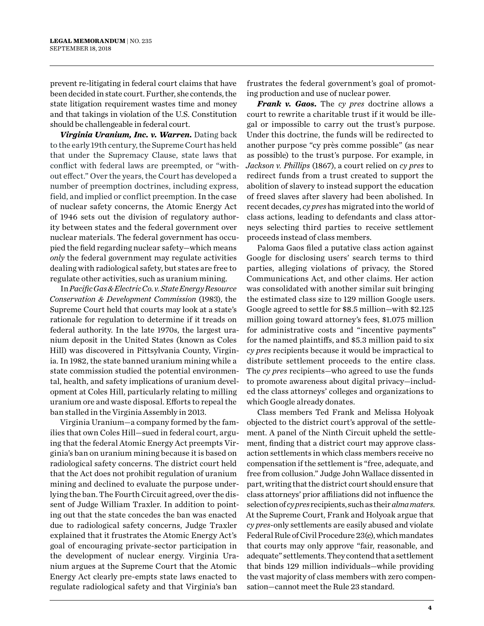prevent re-litigating in federal court claims that have been decided in state court. Further, she contends, the state litigation requirement wastes time and money and that takings in violation of the U.S. Constitution should be challengeable in federal court.

*Virginia Uranium, Inc. v. Warren***.** Dating back to the early 19th century, the Supreme Court has held that under the Supremacy Clause, state laws that conflict with federal laws are preempted, or "without effect." Over the years, the Court has developed a number of preemption doctrines, including express, field, and implied or conflict preemption. In the case of nuclear safety concerns, the Atomic Energy Act of 1946 sets out the division of regulatory authority between states and the federal government over nuclear materials. The federal government has occupied the field regarding nuclear safety—which means *only* the federal government may regulate activities dealing with radiological safety, but states are free to regulate other activities, such as uranium mining.

In *Pacific Gas & Electric Co. v. State Energy Resource Conservation & Development Commission* (1983), the Supreme Court held that courts may look at a state's rationale for regulation to determine if it treads on federal authority. In the late 1970s, the largest uranium deposit in the United States (known as Coles Hill) was discovered in Pittsylvania County, Virginia. In 1982, the state banned uranium mining while a state commission studied the potential environmental, health, and safety implications of uranium development at Coles Hill, particularly relating to milling uranium ore and waste disposal. Efforts to repeal the ban stalled in the Virginia Assembly in 2013.

Virginia Uranium—a company formed by the families that own Coles Hill—sued in federal court, arguing that the federal Atomic Energy Act preempts Virginia's ban on uranium mining because it is based on radiological safety concerns. The district court held that the Act does not prohibit regulation of uranium mining and declined to evaluate the purpose underlying the ban. The Fourth Circuit agreed, over the dissent of Judge William Traxler. In addition to pointing out that the state concedes the ban was enacted due to radiological safety concerns, Judge Traxler explained that it frustrates the Atomic Energy Act's goal of encouraging private-sector participation in the development of nuclear energy. Virginia Uranium argues at the Supreme Court that the Atomic Energy Act clearly pre-empts state laws enacted to regulate radiological safety and that Virginia's ban

frustrates the federal government's goal of promoting production and use of nuclear power.

*Frank v. Gaos***.** The *cy pres* doctrine allows a court to rewrite a charitable trust if it would be illegal or impossible to carry out the trust's purpose. Under this doctrine, the funds will be redirected to another purpose "cy près comme possible" (as near as possible) to the trust's purpose. For example, in *Jackson v. Phillips* (1867), a court relied on *cy pres* to redirect funds from a trust created to support the abolition of slavery to instead support the education of freed slaves after slavery had been abolished. In recent decades, *cy pres* has migrated into the world of class actions, leading to defendants and class attorneys selecting third parties to receive settlement proceeds instead of class members.

Paloma Gaos filed a putative class action against Google for disclosing users' search terms to third parties, alleging violations of privacy, the Stored Communications Act, and other claims. Her action was consolidated with another similar suit bringing the estimated class size to 129 million Google users. Google agreed to settle for \$8.5 million—with \$2.125 million going toward attorney's fees, \$1.075 million for administrative costs and "incentive payments" for the named plaintiffs, and \$5.3 million paid to six *cy pres* recipients because it would be impractical to distribute settlement proceeds to the entire class. The *cy pres* recipients—who agreed to use the funds to promote awareness about digital privacy—included the class attorneys' colleges and organizations to which Google already donates.

Class members Ted Frank and Melissa Holyoak objected to the district court's approval of the settlement. A panel of the Ninth Circuit upheld the settlement, finding that a district court may approve classaction settlements in which class members receive no compensation if the settlement is "free, adequate, and free from collusion." Judge John Wallace dissented in part, writing that the district court should ensure that class attorneys' prior affiliations did not influence the selection of *cy pres* recipients, such as their *alma maters*. At the Supreme Court, Frank and Holyoak argue that *cy pres*-only settlements are easily abused and violate Federal Rule of Civil Procedure 23(e), which mandates that courts may only approve "fair, reasonable, and adequate" settlements. They contend that a settlement that binds 129 million individuals—while providing the vast majority of class members with zero compensation—cannot meet the Rule 23 standard.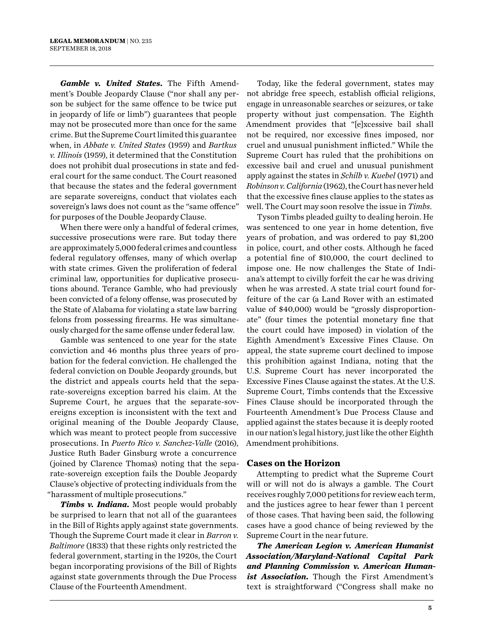*Gamble v. United States***.** The Fifth Amendment's Double Jeopardy Clause ("nor shall any person be subject for the same offence to be twice put in jeopardy of life or limb") guarantees that people may not be prosecuted more than once for the same crime. But the Supreme Court limited this guarantee when, in *Abbate v. United States* (1959) and *Bartkus v. Illinois* (1959), it determined that the Constitution does not prohibit dual prosecutions in state and federal court for the same conduct. The Court reasoned that because the states and the federal government are separate sovereigns, conduct that violates each sovereign's laws does not count as the "same offence" for purposes of the Double Jeopardy Clause.

When there were only a handful of federal crimes, successive prosecutions were rare. But today there are approximately 5,000 federal crimes and countless federal regulatory offenses, many of which overlap with state crimes. Given the proliferation of federal criminal law, opportunities for duplicative prosecutions abound. Terance Gamble, who had previously been convicted of a felony offense, was prosecuted by the State of Alabama for violating a state law barring felons from possessing firearms. He was simultaneously charged for the same offense under federal law.

Gamble was sentenced to one year for the state conviction and 46 months plus three years of probation for the federal conviction. He challenged the federal conviction on Double Jeopardy grounds, but the district and appeals courts held that the separate-sovereigns exception barred his claim. At the Supreme Court, he argues that the separate-sovereigns exception is inconsistent with the text and original meaning of the Double Jeopardy Clause, which was meant to protect people from successive prosecutions. In *Puerto Rico v. Sanchez-Valle* (2016), Justice Ruth Bader Ginsburg wrote a concurrence (joined by Clarence Thomas) noting that the separate-sovereign exception fails the Double Jeopardy Clause's objective of protecting individuals from the "harassment of multiple prosecutions."

*Timbs v. Indiana***.** Most people would probably be surprised to learn that not all of the guarantees in the Bill of Rights apply against state governments. Though the Supreme Court made it clear in *Barron v. Baltimore* (1833) that these rights only restricted the federal government, starting in the 1920s, the Court began incorporating provisions of the Bill of Rights against state governments through the Due Process Clause of the Fourteenth Amendment.

Today, like the federal government, states may not abridge free speech, establish official religions, engage in unreasonable searches or seizures, or take property without just compensation. The Eighth Amendment provides that "[e]xcessive bail shall not be required, nor excessive fines imposed, nor cruel and unusual punishment inflicted." While the Supreme Court has ruled that the prohibitions on excessive bail and cruel and unusual punishment apply against the states in *Schilb v. Kuebel* (1971) and *Robinson v. California* (1962), the Court has never held that the excessive fines clause applies to the states as well. The Court may soon resolve the issue in *Timbs*.

Tyson Timbs pleaded guilty to dealing heroin. He was sentenced to one year in home detention, five years of probation, and was ordered to pay \$1,200 in police, court, and other costs. Although he faced a potential fine of \$10,000, the court declined to impose one. He now challenges the State of Indiana's attempt to civilly forfeit the car he was driving when he was arrested. A state trial court found forfeiture of the car (a Land Rover with an estimated value of \$40,000) would be "grossly disproportionate" (four times the potential monetary fine that the court could have imposed) in violation of the Eighth Amendment's Excessive Fines Clause. On appeal, the state supreme court declined to impose this prohibition against Indiana, noting that the U.S. Supreme Court has never incorporated the Excessive Fines Clause against the states. At the U.S. Supreme Court, Timbs contends that the Excessive Fines Clause should be incorporated through the Fourteenth Amendment's Due Process Clause and applied against the states because it is deeply rooted in our nation's legal history, just like the other Eighth Amendment prohibitions.

#### **Cases on the Horizon**

Attempting to predict what the Supreme Court will or will not do is always a gamble. The Court receives roughly 7,000 petitions for review each term, and the justices agree to hear fewer than 1 percent of those cases. That having been said, the following cases have a good chance of being reviewed by the Supreme Court in the near future.

*The American Legion v. American Humanist Association/Maryland-National Capital Park and Planning Commission v. American Humanist Association***.** Though the First Amendment's text is straightforward ("Congress shall make no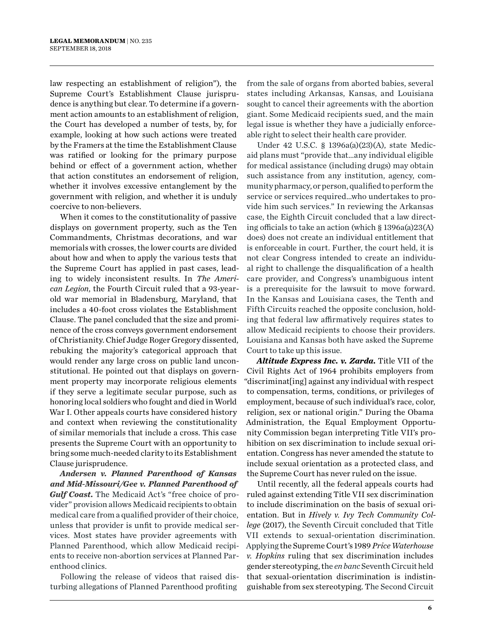law respecting an establishment of religion"), the Supreme Court's Establishment Clause jurisprudence is anything but clear. To determine if a government action amounts to an establishment of religion, the Court has developed a number of tests, by, for example, looking at how such actions were treated by the Framers at the time the Establishment Clause was ratified or looking for the primary purpose behind or effect of a government action, whether that action constitutes an endorsement of religion, whether it involves excessive entanglement by the government with religion, and whether it is unduly coercive to non-believers.

When it comes to the constitutionality of passive displays on government property, such as the Ten Commandments, Christmas decorations, and war memorials with crosses, the lower courts are divided about how and when to apply the various tests that the Supreme Court has applied in past cases, leading to widely inconsistent results. In *The American Legion*, the Fourth Circuit ruled that a 93-yearold war memorial in Bladensburg, Maryland, that includes a 40-foot cross violates the Establishment Clause. The panel concluded that the size and prominence of the cross conveys government endorsement of Christianity. Chief Judge Roger Gregory dissented, rebuking the majority's categorical approach that would render any large cross on public land unconstitutional. He pointed out that displays on government property may incorporate religious elements if they serve a legitimate secular purpose, such as honoring local soldiers who fought and died in World War I. Other appeals courts have considered history and context when reviewing the constitutionality of similar memorials that include a cross. This case presents the Supreme Court with an opportunity to bring some much-needed clarity to its Establishment Clause jurisprudence.

*Andersen v. Planned Parenthood of Kansas and Mid-Missouri/Gee v. Planned Parenthood of Gulf Coast***.** The Medicaid Act's "free choice of provider" provision allows Medicaid recipients to obtain medical care from a qualified provider of their choice, unless that provider is unfit to provide medical services. Most states have provider agreements with Planned Parenthood, which allow Medicaid recipients to receive non-abortion services at Planned Parenthood clinics.

Following the release of videos that raised disturbing allegations of Planned Parenthood profiting

from the sale of organs from aborted babies, several states including Arkansas, Kansas, and Louisiana sought to cancel their agreements with the abortion giant. Some Medicaid recipients sued, and the main legal issue is whether they have a judicially enforceable right to select their health care provider.

Under 42 U.S.C. § 1396a(a)(23)(A), state Medicaid plans must "provide that…any individual eligible for medical assistance (including drugs) may obtain such assistance from any institution, agency, community pharmacy, or person, qualified to perform the service or services required…who undertakes to provide him such services." In reviewing the Arkansas case, the Eighth Circuit concluded that a law directing officials to take an action (which § 1396a(a)23(A) does) does not create an individual entitlement that is enforceable in court. Further, the court held, it is not clear Congress intended to create an individual right to challenge the disqualification of a health care provider, and Congress's unambiguous intent is a prerequisite for the lawsuit to move forward. In the Kansas and Louisiana cases, the Tenth and Fifth Circuits reached the opposite conclusion, holding that federal law affirmatively requires states to allow Medicaid recipients to choose their providers. Louisiana and Kansas both have asked the Supreme Court to take up this issue.

*Altitude Express Inc. v. Zarda***.** Title VII of the Civil Rights Act of 1964 prohibits employers from "discriminat[ing] against any individual with respect to compensation, terms, conditions, or privileges of employment, because of such individual's race, color, religion, sex or national origin." During the Obama Administration, the Equal Employment Opportunity Commission began interpreting Title VII's prohibition on sex discrimination to include sexual orientation. Congress has never amended the statute to include sexual orientation as a protected class, and the Supreme Court has never ruled on the issue.

Until recently, all the federal appeals courts had ruled against extending Title VII sex discrimination to include discrimination on the basis of sexual orientation. But in *Hively v. Ivy Tech Community College* (2017), the Seventh Circuit concluded that Title VII extends to sexual-orientation discrimination. Applying the Supreme Court's 1989 *Price Waterhouse v. Hopkins* ruling that sex discrimination includes gender stereotyping, the *en banc* Seventh Circuit held that sexual-orientation discrimination is indistinguishable from sex stereotyping. The Second Circuit